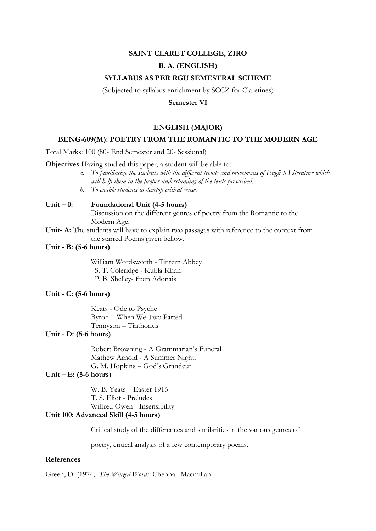### **SAINT CLARET COLLEGE, ZIRO**

## **B. A. (ENGLISH)**

#### **SYLLABUS AS PER RGU SEMESTRAL SCHEME**

(Subjected to syllabus enrichment by SCCZ for Claretines)

### **Semester VI**

# **ENGLISH (MAJOR)**

### **BENG-609(M): POETRY FROM THE ROMANTIC TO THE MODERN AGE**

Total Marks: 100 (80- End Semester and 20- Sessional)

**Objectives** Having studied this paper, a student will be able to:

- *a. To familiarize the students with the different trends and movements of English Literature which will help them in the proper understanding of the texts prescribed.*
	- *b. To enable students to develop critical sense.*

# **Unit – 0: Foundational Unit (4-5 hours)**

Discussion on the different genres of poetry from the Romantic to the Modern Age.

- **Unit- A:** The students will have to explain two passages with reference to the context from the starred Poems given bellow.
- **Unit - B: (5-6 hours)**

William Wordsworth - Tintern Abbey S. T. Coleridge - Kubla Khan P. B. Shelley- from Adonais

#### **Unit - C: (5-6 hours)**

Keats - Ode to Psyche Byron – When We Two Parted Tennyson – Tinthonus

# **Unit - D: (5-6 hours)**

Robert Browning - A Grammarian's Funeral Mathew Arnold - A Summer Night. G. M. Hopkins – God's Grandeur

### **Unit – E: (5-6 hours)**

W. B. Yeats – Easter 1916 T. S. Eliot - Preludes Wilfred Owen - Insensibility

# **Unit 100: Advanced Skill (4-5 hours)**

Critical study of the differences and similarities in the various genres of

poetry, critical analysis of a few contemporary poems.

#### **References**

Green, D. (1974*). The Winged Words*. Chennai: Macmillan.